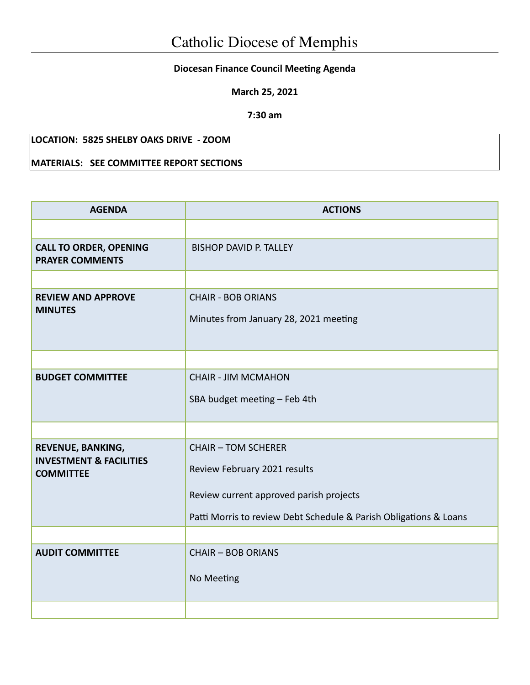## **Diocesan Finance Council Meeting Agenda**

**March 25, 2021**

**7:30 am**

## **LOCATION: 5825 SHELBY OAKS DRIVE - ZOOM**

## **MATERIALS: SEE COMMITTEE REPORT SECTIONS**

| <b>AGENDA</b>                                           | <b>ACTIONS</b>                                                     |  |  |
|---------------------------------------------------------|--------------------------------------------------------------------|--|--|
|                                                         |                                                                    |  |  |
| <b>CALL TO ORDER, OPENING</b><br><b>PRAYER COMMENTS</b> | <b>BISHOP DAVID P. TALLEY</b>                                      |  |  |
|                                                         |                                                                    |  |  |
| <b>REVIEW AND APPROVE</b><br><b>MINUTES</b>             | <b>CHAIR - BOB ORIANS</b><br>Minutes from January 28, 2021 meeting |  |  |
|                                                         |                                                                    |  |  |
| <b>BUDGET COMMITTEE</b>                                 | <b>CHAIR - JIM MCMAHON</b>                                         |  |  |
|                                                         | SBA budget meeting - Feb 4th                                       |  |  |
|                                                         |                                                                    |  |  |
| REVENUE, BANKING,<br><b>INVESTMENT &amp; FACILITIES</b> | <b>CHAIR - TOM SCHERER</b>                                         |  |  |
| <b>COMMITTEE</b>                                        | Review February 2021 results                                       |  |  |
|                                                         | Review current approved parish projects                            |  |  |
|                                                         | Patti Morris to review Debt Schedule & Parish Obligations & Loans  |  |  |
|                                                         |                                                                    |  |  |
| <b>AUDIT COMMITTEE</b>                                  | <b>CHAIR - BOB ORIANS</b>                                          |  |  |
|                                                         | No Meeting                                                         |  |  |
|                                                         |                                                                    |  |  |